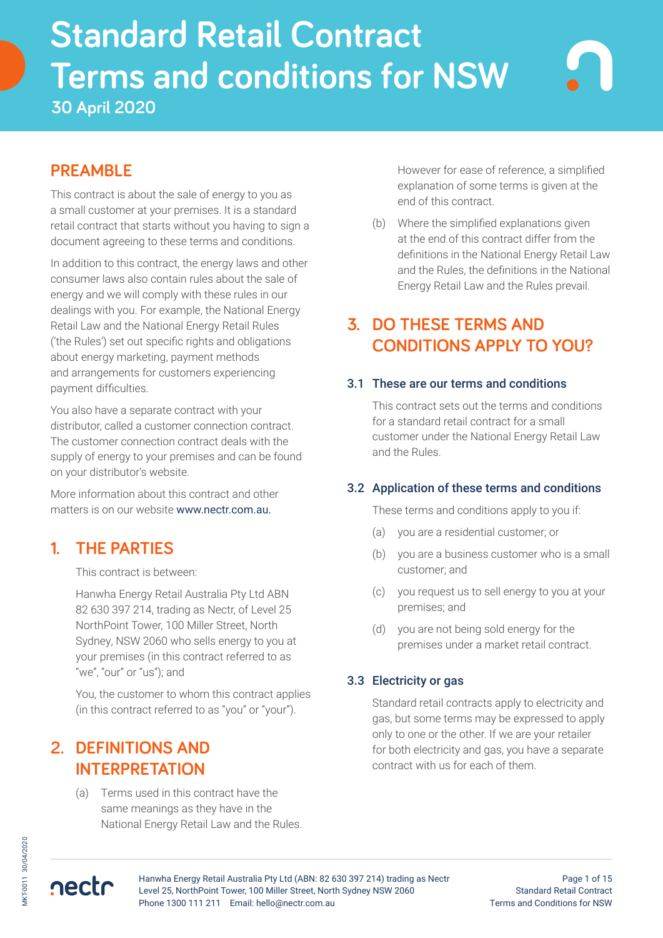# **Standard Retail Contract Terms and conditions for NSW**<br>30 April 2020 **Standard Retail Contract Terms and conditions for NSW 30 April 2020**

# **PREAMBLE**

This contract is about the sale of energy to you as a small customer at your premises. It is a standard retail contract that starts without you having to sign a document agreeing to these terms and conditions.

In addition to this contract, the energy laws and other consumer laws also contain rules about the sale of energy and we will comply with these rules in our dealings with you. For example, the National Energy Retail Law and the National Energy Retail Rules ('the Rules') set out specific rights and obligations about energy marketing, payment methods and arrangements for customers experiencing payment difficulties.

You also have a separate contract with your distributor, called a customer connection contract. The customer connection contract deals with the supply of energy to your premises and can be found on your distributor's website.

More information about this contract and other matters is on our website www.nectr.com.au.

# **1. THE PARTIES**

This contract is between:

Hanwha Energy Retail Australia Pty Ltd ABN 82 630 397 214, trading as Nectr, of Level 25 NorthPoint Tower, 100 Miller Street, North Sydney, NSW 2060 who sells energy to you at your premises (in this contract referred to as "we", "our" or "us"); and

You, the customer to whom this contract applies (in this contract referred to as "you" or "your").

# **2. DEFINITIONS AND INTERPRETATION**

(a) Terms used in this contract have the same meanings as they have in the National Energy Retail Law and the Rules. However for ease of reference, a simplified explanation of some terms is given at the end of this contract.

(b) Where the simplified explanations given at the end of this contract differ from the definitions in the National Energy Retail Law and the Rules, the definitions in the National Energy Retail Law and the Rules prevail.

# **3. DO THESE TERMS AND CONDITIONS APPLY TO YOU?**

## 3.1 These are our terms and conditions

This contract sets out the terms and conditions for a standard retail contract for a small customer under the National Energy Retail Law and the Rules.

## 3.2 Application of these terms and conditions

These terms and conditions apply to you if:

- (a) you are a residential customer; or
- (b) you are a business customer who is a small customer; and
- (c) you request us to sell energy to you at your premises; and
- (d) you are not being sold energy for the premises under a market retail contract.

## 3.3 Electricity or gas

Standard retail contracts apply to electricity and gas, but some terms may be expressed to apply only to one or the other. If we are your retailer for both electricity and gas, you have a separate contract with us for each of them.

nectr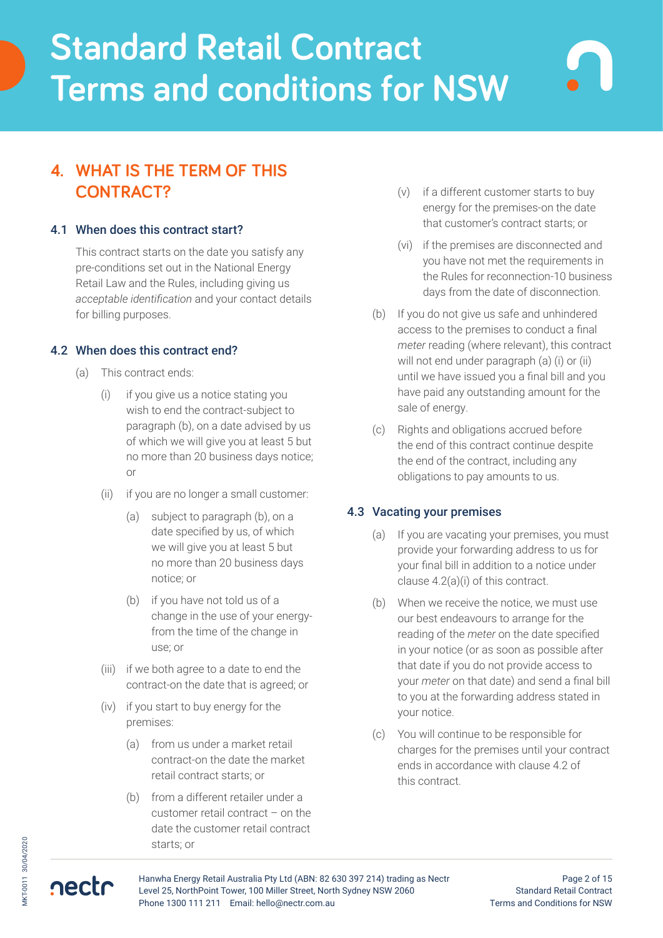# **4. WHAT IS THE TERM OF THIS CONTRACT?**

### 4.1 When does this contract start?

This contract starts on the date you satisfy any pre-conditions set out in the National Energy Retail Law and the Rules, including giving us *acceptable identification* and your contact details for billing purposes.

## 4.2 When does this contract end?

- (a) This contract ends:
	- (i) if you give us a notice stating you wish to end the contract-subject to paragraph (b), on a date advised by us of which we will give you at least 5 but no more than 20 business days notice; or
	- (ii) if you are no longer a small customer:
		- (a) subject to paragraph (b), on a date specified by us, of which we will give you at least 5 but no more than 20 business days notice; or
		- (b) if you have not told us of a change in the use of your energyfrom the time of the change in use; or
	- (iii) if we both agree to a date to end the contract-on the date that is agreed; or
	- (iv) if you start to buy energy for the premises:
		- (a) from us under a market retail contract-on the date the market retail contract starts; or
		- (b) from a different retailer under a customer retail contract – on the date the customer retail contract starts; or
- (v) if a different customer starts to buy energy for the premises-on the date that customer's contract starts; or
- (vi) if the premises are disconnected and you have not met the requirements in the Rules for reconnection-10 business days from the date of disconnection.
- (b) If you do not give us safe and unhindered access to the premises to conduct a final *meter* reading (where relevant), this contract will not end under paragraph (a) (i) or (ii) until we have issued you a final bill and you have paid any outstanding amount for the sale of energy.
- (c) Rights and obligations accrued before the end of this contract continue despite the end of the contract, including any obligations to pay amounts to us.

### 4.3 Vacating your premises

- (a) If you are vacating your premises, you must provide your forwarding address to us for your final bill in addition to a notice under clause 4.2(a)(i) of this contract.
- (b) When we receive the notice, we must use our best endeavours to arrange for the reading of the *meter* on the date specified in your notice (or as soon as possible after that date if you do not provide access to your *meter* on that date) and send a final bill to you at the forwarding address stated in your notice.
- (c) You will continue to be responsible for charges for the premises until your contract ends in accordance with clause 4.2 of this contract.

nectr



Page 2 of 15 Standard Retail Contract Terms and Conditions for NSW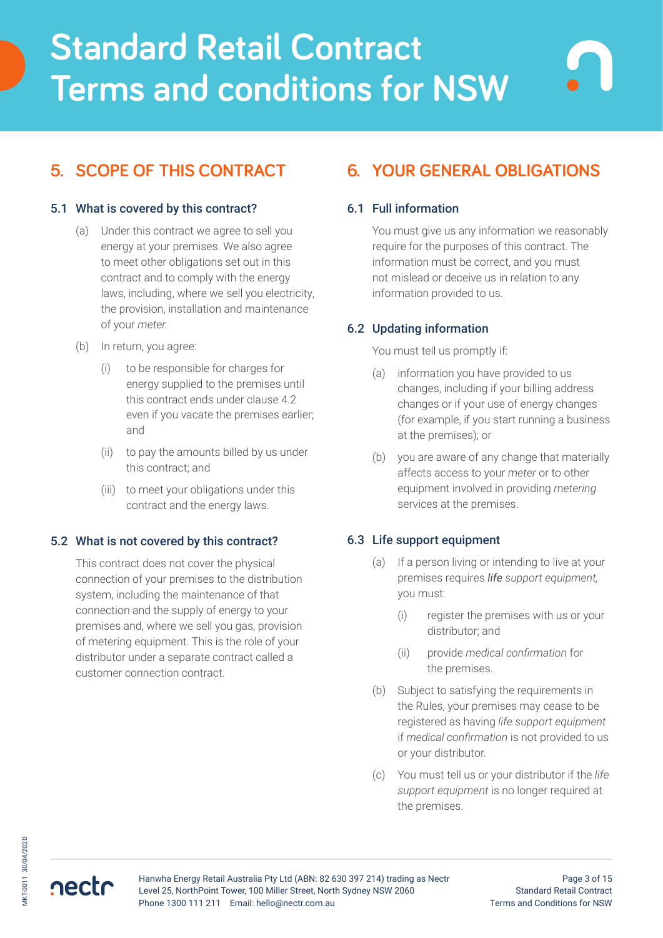# **5. SCOPE OF THIS CONTRACT**

### 5.1 What is covered by this contract?

- (a) Under this contract we agree to sell you energy at your premises. We also agree to meet other obligations set out in this contract and to comply with the energy laws, including, where we sell you electricity, the provision, installation and maintenance of your *meter.*
- (b) In return, you agree:
	- (i) to be responsible for charges for energy supplied to the premises until this contract ends under clause 4.2 even if you vacate the premises earlier; and
	- (ii) to pay the amounts billed by us under this contract; and
	- (iii) to meet your obligations under this contract and the energy laws.

### 5.2 What is not covered by this contract?

This contract does not cover the physical connection of your premises to the distribution system, including the maintenance of that connection and the supply of energy to your premises and, where we sell you gas, provision of metering equipment. This is the role of your distributor under a separate contract called a customer connection contract.

# **6. YOUR GENERAL OBLIGATIONS**

## 6.1 Full information

You must give us any information we reasonably require for the purposes of this contract. The information must be correct, and you must not mislead or deceive us in relation to any information provided to us.

## 6.2 Updating information

#### You must tell us promptly if:

- (a) information you have provided to us changes, including if your billing address changes or if your use of energy changes (for example, if you start running a business at the premises); or
- (b) you are aware of any change that materially affects access to your *meter* or to other equipment involved in providing *metering* services at the premises.

## 6.3 Life support equipment

- (a) If a person living or intending to live at your premises requires *life support equipment,* you must:
	- (i) register the premises with us or your distributor; and
	- (ii) provide *medical confirmation* for the premises.
- (b) Subject to satisfying the requirements in the Rules, your premises may cease to be registered as having *life support equipment*  if *medical confirmation* is not provided to us or your distributor.
- (c) You must tell us or your distributor if the *life support equipment* is no longer required at the premises.

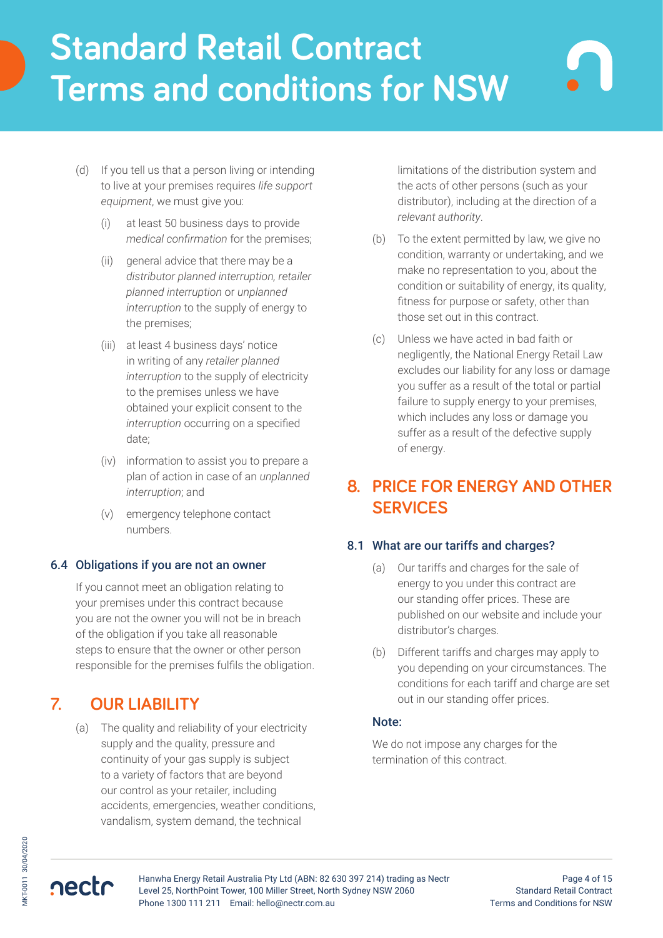- (d) If you tell us that a person living or intending to live at your premises requires *life support equipment*, we must give you:
	- (i) at least 50 business days to provide *medical confirmation* for the premises;
	- (ii) general advice that there may be a *distributor planned interruption, retailer planned interruption* or *unplanned interruption* to the supply of energy to the premises;
	- (iii) at least 4 business days' notice in writing of any *retailer planned interruption* to the supply of electricity to the premises unless we have obtained your explicit consent to the *interruption* occurring on a specified date;
	- (iv) information to assist you to prepare a plan of action in case of an *unplanned interruption*; and
	- (v) emergency telephone contact numbers.

### 6.4 Obligations if you are not an owner

If you cannot meet an obligation relating to your premises under this contract because you are not the owner you will not be in breach of the obligation if you take all reasonable steps to ensure that the owner or other person responsible for the premises fulfils the obligation.

# **7. OUR LIABILITY**

(a) The quality and reliability of your electricity supply and the quality, pressure and continuity of your gas supply is subject to a variety of factors that are beyond our control as your retailer, including accidents, emergencies, weather conditions, vandalism, system demand, the technical

limitations of the distribution system and the acts of other persons (such as your distributor), including at the direction of a *relevant authority*.

- (b) To the extent permitted by law, we give no condition, warranty or undertaking, and we make no representation to you, about the condition or suitability of energy, its quality, fitness for purpose or safety, other than those set out in this contract.
- (c) Unless we have acted in bad faith or negligently, the National Energy Retail Law excludes our liability for any loss or damage you suffer as a result of the total or partial failure to supply energy to your premises, which includes any loss or damage you suffer as a result of the defective supply of energy.

# **8. PRICE FOR ENERGY AND OTHER SERVICES**

### 8.1 What are our tariffs and charges?

- (a) Our tariffs and charges for the sale of energy to you under this contract are our standing offer prices. These are published on our website and include your distributor's charges.
- (b) Different tariffs and charges may apply to you depending on your circumstances. The conditions for each tariff and charge are set out in our standing offer prices.

#### Note:

We do not impose any charges for the termination of this contract.

nectr

Hanwha Energy Retail Australia Pty Ltd (ABN: 82 630 397 214) trading as Nectr Level 25, NorthPoint Tower, 100 Miller Street, North Sydney NSW 2060 Phone 1300 111 211 Email: hello@nectr.com.au

Page 4 of 15 Standard Retail Contract Terms and Conditions for NSW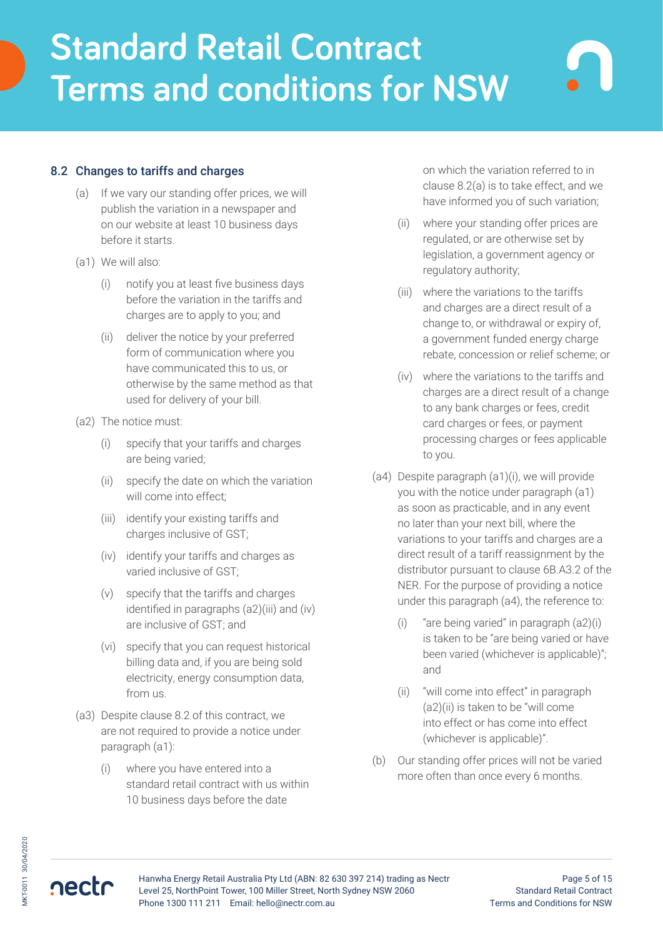### 8.2 Changes to tariffs and charges

- (a) If we vary our standing offer prices, we will publish the variation in a newspaper and on our website at least 10 business days before it starts.
- (a1) We will also:
	- (i) notify you at least five business days before the variation in the tariffs and charges are to apply to you; and
	- (ii) deliver the notice by your preferred form of communication where you have communicated this to us, or otherwise by the same method as that used for delivery of your bill.
- (a2) The notice must:
	- (i) specify that your tariffs and charges are being varied;
	- (ii) specify the date on which the variation will come into effect;
	- (iii) identify your existing tariffs and charges inclusive of GST;
	- (iv) identify your tariffs and charges as varied inclusive of GST;
	- (v) specify that the tariffs and charges identified in paragraphs (a2)(iii) and (iv) are inclusive of GST; and
	- (vi) specify that you can request historical billing data and, if you are being sold electricity, energy consumption data, from us.
- (a3) Despite clause 8.2 of this contract, we are not required to provide a notice under paragraph (a1):
	- (i) where you have entered into a standard retail contract with us within 10 business days before the date

on which the variation referred to in clause 8.2(a) is to take effect, and we have informed you of such variation;

- (ii) where your standing offer prices are regulated, or are otherwise set by legislation, a government agency or regulatory authority;
- (iii) where the variations to the tariffs and charges are a direct result of a change to, or withdrawal or expiry of, a government funded energy charge rebate, concession or relief scheme; or
- (iv) where the variations to the tariffs and charges are a direct result of a change to any bank charges or fees, credit card charges or fees, or payment processing charges or fees applicable to you.
- (a4) Despite paragraph (a1)(i), we will provide you with the notice under paragraph (a1) as soon as practicable, and in any event no later than your next bill, where the variations to your tariffs and charges are a direct result of a tariff reassignment by the distributor pursuant to clause 6B.A3.2 of the NER. For the purpose of providing a notice under this paragraph (a4), the reference to:
	- (i) "are being varied" in paragraph (a2)(i) is taken to be "are being varied or have been varied (whichever is applicable)"; and
	- (ii) "will come into effect" in paragraph (a2)(ii) is taken to be "will come into effect or has come into effect (whichever is applicable)".
- (b) Our standing offer prices will not be varied more often than once every 6 months.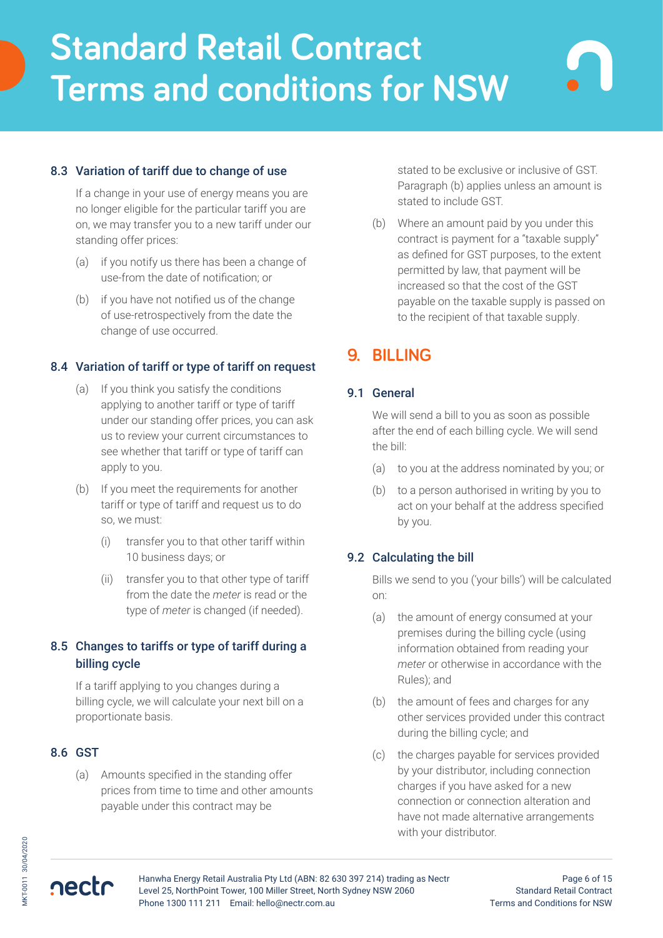## 8.3 Variation of tariff due to change of use

If a change in your use of energy means you are no longer eligible for the particular tariff you are on, we may transfer you to a new tariff under our standing offer prices:

- (a) if you notify us there has been a change of use-from the date of notification; or
- (b) if you have not notified us of the change of use-retrospectively from the date the change of use occurred.

## 8.4 Variation of tariff or type of tariff on request

- (a) If you think you satisfy the conditions applying to another tariff or type of tariff under our standing offer prices, you can ask us to review your current circumstances to see whether that tariff or type of tariff can apply to you.
- (b) If you meet the requirements for another tariff or type of tariff and request us to do so, we must:
	- (i) transfer you to that other tariff within 10 business days; or
	- (ii) transfer you to that other type of tariff from the date the *meter* is read or the type of *meter* is changed (if needed).

## 8.5 Changes to tariffs or type of tariff during a billing cycle

If a tariff applying to you changes during a billing cycle, we will calculate your next bill on a proportionate basis.

### 8.6 GST

nectr

(a) Amounts specified in the standing offer prices from time to time and other amounts payable under this contract may be

stated to be exclusive or inclusive of GST. Paragraph (b) applies unless an amount is stated to include GST.

(b) Where an amount paid by you under this contract is payment for a "taxable supply" as defined for GST purposes, to the extent permitted by law, that payment will be increased so that the cost of the GST payable on the taxable supply is passed on to the recipient of that taxable supply.

# **9. BILLING**

### 9.1 General

We will send a bill to you as soon as possible after the end of each billing cycle. We will send the bill:

- (a) to you at the address nominated by you; or
- (b) to a person authorised in writing by you to act on your behalf at the address specified by you.

### 9.2 Calculating the bill

Bills we send to you ('your bills') will be calculated on:

- (a) the amount of energy consumed at your premises during the billing cycle (using information obtained from reading your *meter* or otherwise in accordance with the Rules); and
- (b) the amount of fees and charges for any other services provided under this contract during the billing cycle; and
- (c) the charges payable for services provided by your distributor, including connection charges if you have asked for a new connection or connection alteration and have not made alternative arrangements with your distributor.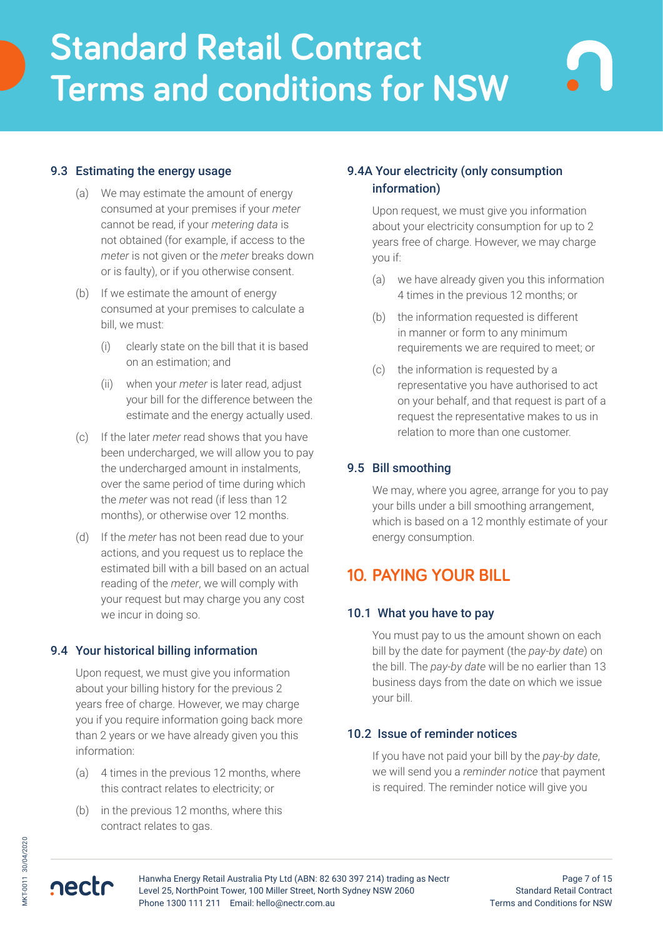## 9.3 Estimating the energy usage

- (a) We may estimate the amount of energy consumed at your premises if your *meter* cannot be read, if your *metering data* is not obtained (for example, if access to the *meter* is not given or the *meter* breaks down or is faulty), or if you otherwise consent.
- (b) If we estimate the amount of energy consumed at your premises to calculate a bill, we must:
	- (i) clearly state on the bill that it is based on an estimation; and
	- (ii) when your *meter* is later read, adjust your bill for the difference between the estimate and the energy actually used.
- (c) If the later *meter* read shows that you have been undercharged, we will allow you to pay the undercharged amount in instalments, over the same period of time during which the *meter* was not read (if less than 12 months), or otherwise over 12 months.
- (d) If the *meter* has not been read due to your actions, and you request us to replace the estimated bill with a bill based on an actual reading of the *meter*, we will comply with your request but may charge you any cost we incur in doing so.

### 9.4 Your historical billing information

Upon request, we must give you information about your billing history for the previous 2 years free of charge. However, we may charge you if you require information going back more than 2 years or we have already given you this information:

- (a) 4 times in the previous 12 months, where this contract relates to electricity; or
- (b) in the previous 12 months, where this contract relates to gas.

## 9.4A Your electricity (only consumption information)

Upon request, we must give you information about your electricity consumption for up to 2 years free of charge. However, we may charge you if:

- (a) we have already given you this information 4 times in the previous 12 months; or
- (b) the information requested is different in manner or form to any minimum requirements we are required to meet; or
- (c) the information is requested by a representative you have authorised to act on your behalf, and that request is part of a request the representative makes to us in relation to more than one customer.

## 9.5 Bill smoothing

We may, where you agree, arrange for you to pay your bills under a bill smoothing arrangement, which is based on a 12 monthly estimate of your energy consumption.

# **10. PAYING YOUR BILL**

### 10.1 What you have to pay

You must pay to us the amount shown on each bill by the date for payment (the *pay-by date*) on the bill. The *pay-by date* will be no earlier than 13 business days from the date on which we issue your bill.

### 10.2 Issue of reminder notices

If you have not paid your bill by the *pay-by date*, we will send you a *reminder notice* that payment is required. The reminder notice will give you

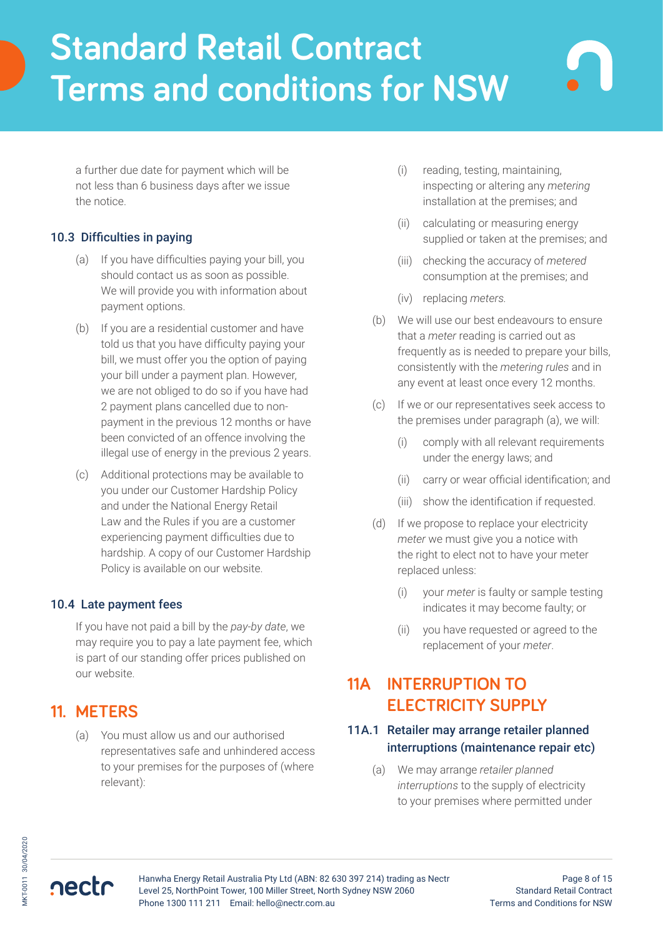a further due date for payment which will be not less than 6 business days after we issue the notice.

## 10.3 Difficulties in paying

- (a) If you have difficulties paying your bill, you should contact us as soon as possible. We will provide you with information about payment options.
- (b) If you are a residential customer and have told us that you have difficulty paying your bill, we must offer you the option of paying your bill under a payment plan. However, we are not obliged to do so if you have had 2 payment plans cancelled due to nonpayment in the previous 12 months or have been convicted of an offence involving the illegal use of energy in the previous 2 years.
- (c) Additional protections may be available to you under our Customer Hardship Policy and under the National Energy Retail Law and the Rules if you are a customer experiencing payment difficulties due to hardship. A copy of our Customer Hardship Policy is available on our website.

## 10.4 Late payment fees

If you have not paid a bill by the *pay-by date*, we may require you to pay a late payment fee, which is part of our standing offer prices published on our website.

# **11. METERS**

(a) You must allow us and our authorised representatives safe and unhindered access to your premises for the purposes of (where relevant):

- (i) reading, testing, maintaining, inspecting or altering any *metering* installation at the premises; and
- (ii) calculating or measuring energy supplied or taken at the premises; and
- (iii) checking the accuracy of *metered* consumption at the premises; and
- (iv) replacing *meters.*
- (b) We will use our best endeavours to ensure that a *meter* reading is carried out as frequently as is needed to prepare your bills, consistently with the *metering rules* and in any event at least once every 12 months.
- (c) If we or our representatives seek access to the premises under paragraph (a), we will:
	- (i) comply with all relevant requirements under the energy laws; and
	- (ii) carry or wear official identification; and
	- (iii) show the identification if requested.
- (d) If we propose to replace your electricity *meter* we must give you a notice with the right to elect not to have your meter replaced unless:
	- (i) your *meter* is faulty or sample testing indicates it may become faulty; or
	- (ii) you have requested or agreed to the replacement of your *meter*.

# **11A INTERRUPTION TO ELECTRICITY SUPPLY**

## 11A.1 Retailer may arrange retailer planned interruptions (maintenance repair etc)

(a) We may arrange *retailer planned interruptions* to the supply of electricity to your premises where permitted under

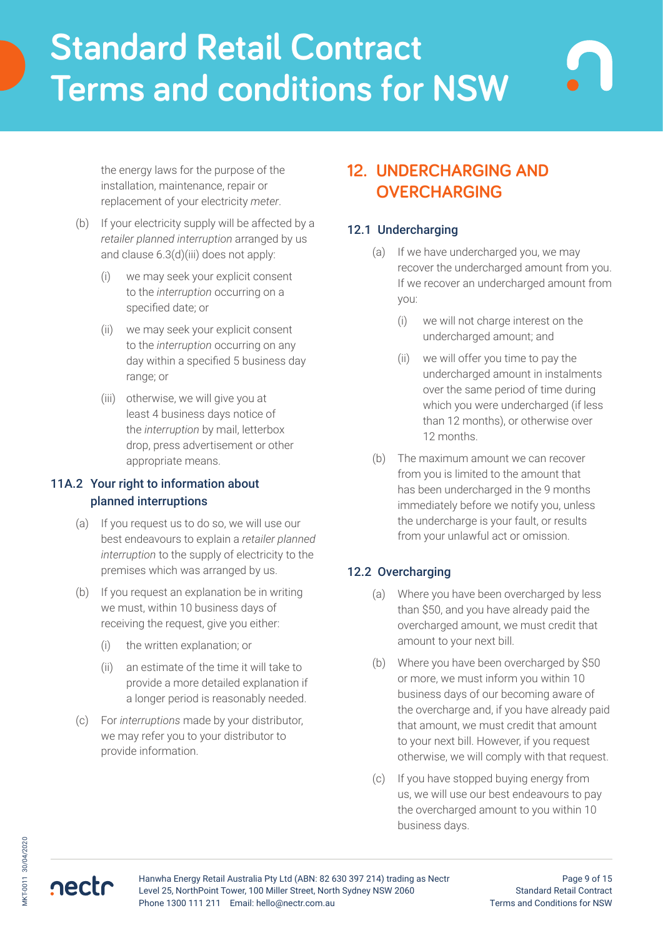the energy laws for the purpose of the installation, maintenance, repair or replacement of your electricity *meter*.

- (b) If your electricity supply will be affected by a *retailer planned interruption* arranged by us and clause 6.3(d)(iii) does not apply:
	- (i) we may seek your explicit consent to the *interruption* occurring on a specified date; or
	- (ii) we may seek your explicit consent to the *interruption* occurring on any day within a specified 5 business day range; or
	- (iii) otherwise, we will give you at least 4 business days notice of the *interruption* by mail, letterbox drop, press advertisement or other appropriate means.

## 11A.2 Your right to information about planned interruptions

- (a) If you request us to do so, we will use our best endeavours to explain a *retailer planned interruption* to the supply of electricity to the premises which was arranged by us.
- (b) If you request an explanation be in writing we must, within 10 business days of receiving the request, give you either:
	- (i) the written explanation; or
	- (ii) an estimate of the time it will take to provide a more detailed explanation if a longer period is reasonably needed.
- (c) For *interruptions* made by your distributor, we may refer you to your distributor to provide information.

# **12. UNDERCHARGING AND OVERCHARGING**

## 12.1 Undercharging

- (a) If we have undercharged you, we may recover the undercharged amount from you. If we recover an undercharged amount from you:
	- (i) we will not charge interest on the undercharged amount; and
	- (ii) we will offer you time to pay the undercharged amount in instalments over the same period of time during which you were undercharged (if less than 12 months), or otherwise over 12 months.
- (b) The maximum amount we can recover from you is limited to the amount that has been undercharged in the 9 months immediately before we notify you, unless the undercharge is your fault, or results from your unlawful act or omission.

## 12.2 Overcharging

- (a) Where you have been overcharged by less than \$50, and you have already paid the overcharged amount, we must credit that amount to your next bill.
- (b) Where you have been overcharged by \$50 or more, we must inform you within 10 business days of our becoming aware of the overcharge and, if you have already paid that amount, we must credit that amount to your next bill. However, if you request otherwise, we will comply with that request.
- (c) If you have stopped buying energy from us, we will use our best endeavours to pay the overcharged amount to you within 10 business days.

MKT-0011 30/04/2020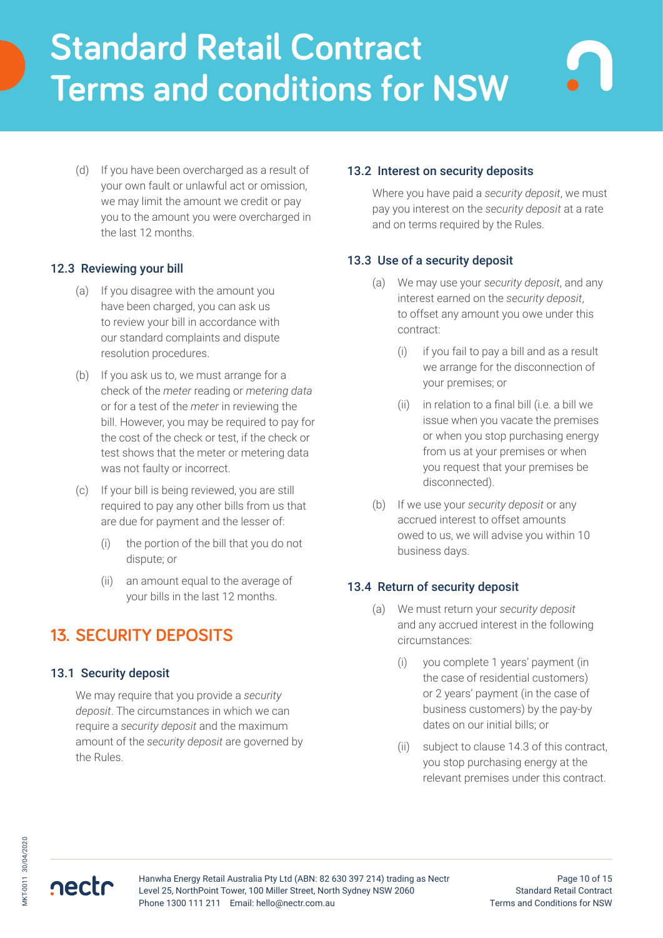(d) If you have been overcharged as a result of your own fault or unlawful act or omission, we may limit the amount we credit or pay you to the amount you were overcharged in the last 12 months.

## 12.3 Reviewing your bill

- (a) If you disagree with the amount you have been charged, you can ask us to review your bill in accordance with our standard complaints and dispute resolution procedures.
- (b) If you ask us to, we must arrange for a check of the *meter* reading or *metering data* or for a test of the *meter* in reviewing the bill. However, you may be required to pay for the cost of the check or test, if the check or test shows that the meter or metering data was not faulty or incorrect.
- (c) If your bill is being reviewed, you are still required to pay any other bills from us that are due for payment and the lesser of:
	- (i) the portion of the bill that you do not dispute; or
	- (ii) an amount equal to the average of your bills in the last 12 months.

# **13. SECURITY DEPOSITS**

## 13.1 Security deposit

We may require that you provide a *security deposit*. The circumstances in which we can require a *security deposit* and the maximum amount of the *security deposit* are governed by the Rules.

## 13.2 Interest on security deposits

Where you have paid a *security deposit*, we must pay you interest on the *security deposit* at a rate and on terms required by the Rules.

## 13.3 Use of a security deposit

- (a) We may use your *security deposit*, and any interest earned on the *security deposit*, to offset any amount you owe under this contract:
	- (i) if you fail to pay a bill and as a result we arrange for the disconnection of your premises; or
	- (ii) in relation to a final bill (i.e. a bill we issue when you vacate the premises or when you stop purchasing energy from us at your premises or when you request that your premises be disconnected).
- (b) If we use your *security deposit* or any accrued interest to offset amounts owed to us, we will advise you within 10 business days.

### 13.4 Return of security deposit

- (a) We must return your *security deposit* and any accrued interest in the following circumstances:
	- (i) you complete 1 years' payment (in the case of residential customers) or 2 years' payment (in the case of business customers) by the pay-by dates on our initial bills; or
	- (ii) subject to clause 14.3 of this contract, you stop purchasing energy at the relevant premises under this contract.

nectr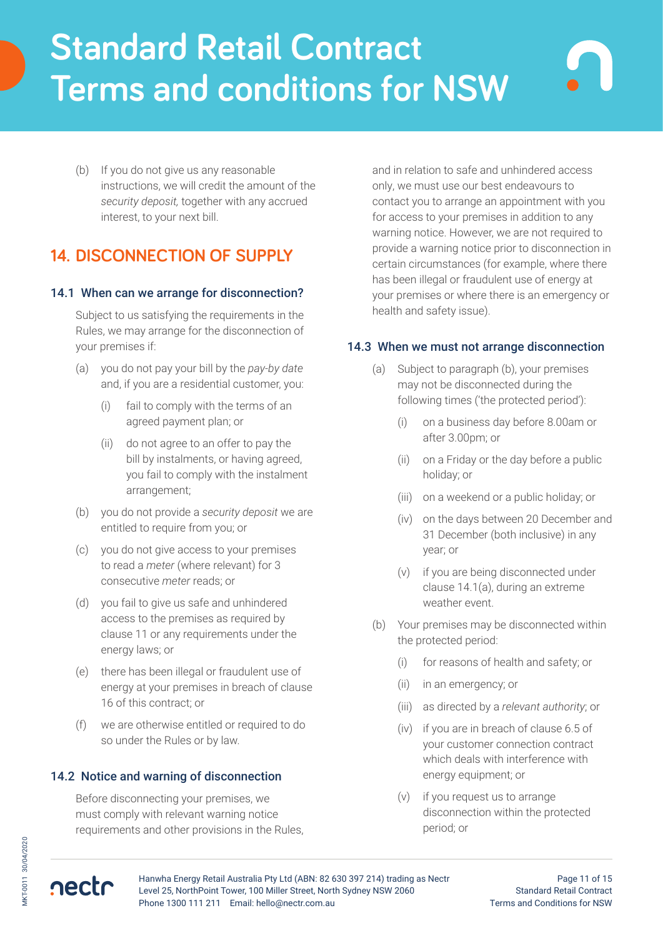(b) If you do not give us any reasonable instructions, we will credit the amount of the *security deposit,* together with any accrued interest, to your next bill.

# **14. DISCONNECTION OF SUPPLY**

### 14.1 When can we arrange for disconnection?

Subject to us satisfying the requirements in the Rules, we may arrange for the disconnection of your premises if:

- (a) you do not pay your bill by the *pay-by date* and, if you are a residential customer, you:
	- (i) fail to comply with the terms of an agreed payment plan; or
	- (ii) do not agree to an offer to pay the bill by instalments, or having agreed, you fail to comply with the instalment arrangement;
- (b) you do not provide a *security deposit* we are entitled to require from you; or
- (c) you do not give access to your premises to read a *meter* (where relevant) for 3 consecutive *meter* reads; or
- (d) you fail to give us safe and unhindered access to the premises as required by clause 11 or any requirements under the energy laws; or
- (e) there has been illegal or fraudulent use of energy at your premises in breach of clause 16 of this contract; or
- (f) we are otherwise entitled or required to do so under the Rules or by law.

## 14.2 Notice and warning of disconnection

Before disconnecting your premises, we must comply with relevant warning notice requirements and other provisions in the Rules,

and in relation to safe and unhindered access only, we must use our best endeavours to contact you to arrange an appointment with you for access to your premises in addition to any warning notice. However, we are not required to provide a warning notice prior to disconnection in certain circumstances (for example, where there has been illegal or fraudulent use of energy at your premises or where there is an emergency or health and safety issue).

## 14.3 When we must not arrange disconnection

- (a) Subject to paragraph (b), your premises may not be disconnected during the following times ('the protected period'):
	- (i) on a business day before 8.00am or after 3.00pm; or
	- (ii) on a Friday or the day before a public holiday; or
	- (iii) on a weekend or a public holiday; or
	- (iv) on the days between 20 December and 31 December (both inclusive) in any year; or
	- (v) if you are being disconnected under clause 14.1(a), during an extreme weather event.
- (b) Your premises may be disconnected within the protected period:
	- (i) for reasons of health and safety; or
	- (ii) in an emergency; or
	- (iii) as directed by a *relevant authority*; or
	- (iv) if you are in breach of clause 6.5 of your customer connection contract which deals with interference with energy equipment; or
	- (v) if you request us to arrange disconnection within the protected period; or



nectr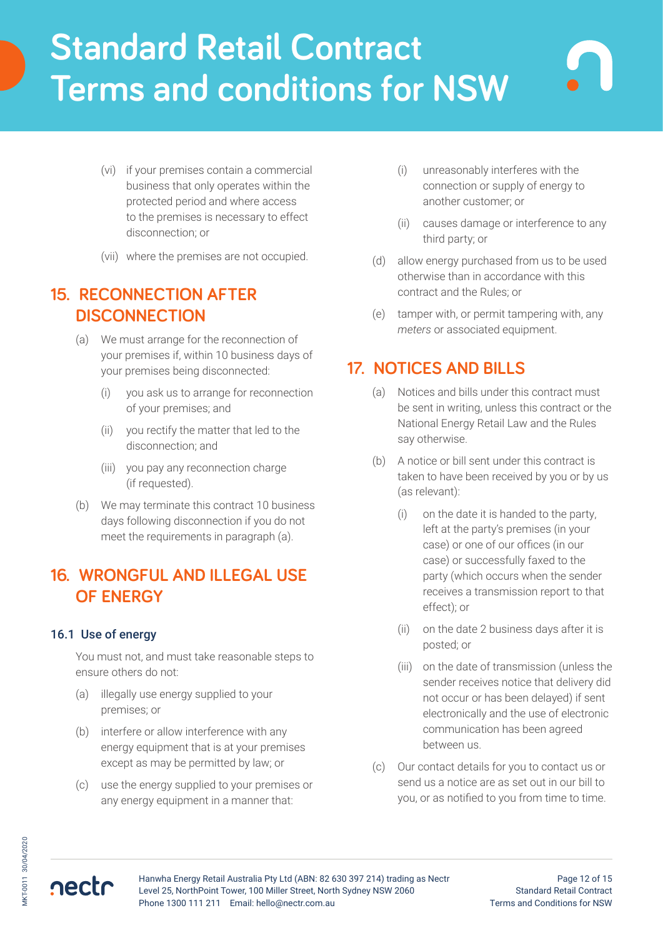- (vi) if your premises contain a commercial business that only operates within the protected period and where access to the premises is necessary to effect disconnection; or
- (vii) where the premises are not occupied.

# **15. RECONNECTION AFTER DISCONNECTION**

- (a) We must arrange for the reconnection of your premises if, within 10 business days of your premises being disconnected:
	- (i) you ask us to arrange for reconnection of your premises; and
	- (ii) you rectify the matter that led to the disconnection; and
	- (iii) you pay any reconnection charge (if requested).
- (b) We may terminate this contract 10 business days following disconnection if you do not meet the requirements in paragraph (a).

# **16. WRONGFUL AND ILLEGAL USE OF ENERGY**

## 16.1 Use of energy

You must not, and must take reasonable steps to ensure others do not:

- (a) illegally use energy supplied to your premises; or
- (b) interfere or allow interference with any energy equipment that is at your premises except as may be permitted by law; or
- (c) use the energy supplied to your premises or any energy equipment in a manner that:
- (i) unreasonably interferes with the connection or supply of energy to another customer; or
- (ii) causes damage or interference to any third party; or
- (d) allow energy purchased from us to be used otherwise than in accordance with this contract and the Rules; or
- (e) tamper with, or permit tampering with, any *meters* or associated equipment.

# **17. NOTICES AND BILLS**

- (a) Notices and bills under this contract must be sent in writing, unless this contract or the National Energy Retail Law and the Rules say otherwise.
- (b) A notice or bill sent under this contract is taken to have been received by you or by us (as relevant):
	- (i) on the date it is handed to the party, left at the party's premises (in your case) or one of our offices (in our case) or successfully faxed to the party (which occurs when the sender receives a transmission report to that effect); or
	- (ii) on the date 2 business days after it is posted; or
	- (iii) on the date of transmission (unless the sender receives notice that delivery did not occur or has been delayed) if sent electronically and the use of electronic communication has been agreed between us.
- (c) Our contact details for you to contact us or send us a notice are as set out in our bill to you, or as notified to you from time to time.

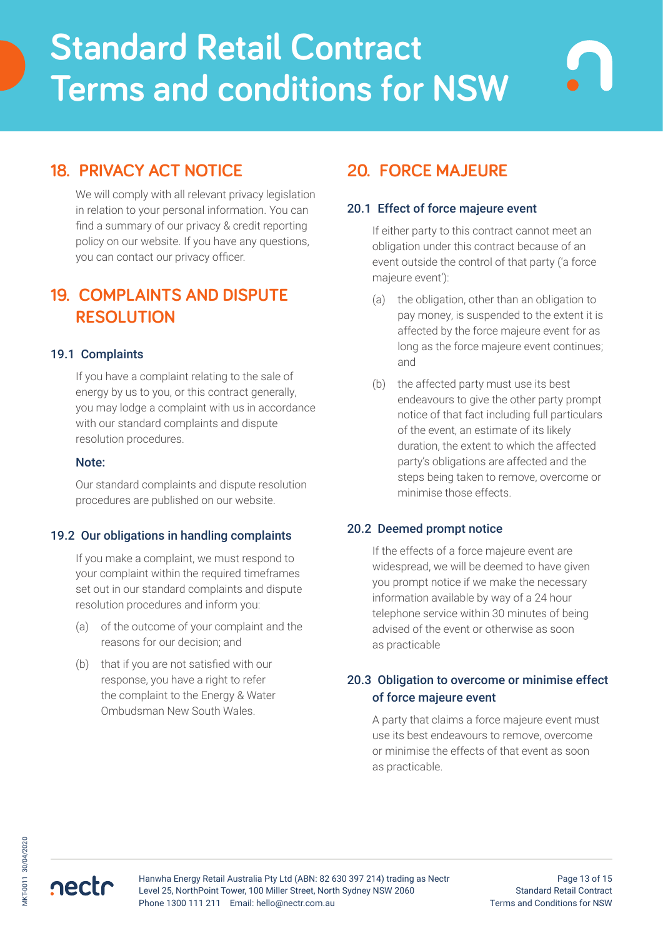# **18. PRIVACY ACT NOTICE**

We will comply with all relevant privacy legislation in relation to your personal information. You can find a summary of our privacy & credit reporting policy on our website. If you have any questions, you can contact our privacy officer.

# **19. COMPLAINTS AND DISPUTE RESOLUTION**

## 19.1 Complaints

If you have a complaint relating to the sale of energy by us to you, or this contract generally, you may lodge a complaint with us in accordance with our standard complaints and dispute resolution procedures.

#### Note:

Our standard complaints and dispute resolution procedures are published on our website.

### 19.2 Our obligations in handling complaints

If you make a complaint, we must respond to your complaint within the required timeframes set out in our standard complaints and dispute resolution procedures and inform you:

- (a) of the outcome of your complaint and the reasons for our decision; and
- (b) that if you are not satisfied with our response, you have a right to refer the complaint to the Energy & Water Ombudsman New South Wales.

# **20. FORCE MAJEURE**

### 20.1 Effect of force majeure event

If either party to this contract cannot meet an obligation under this contract because of an event outside the control of that party ('a force majeure event'):

- (a) the obligation, other than an obligation to pay money, is suspended to the extent it is affected by the force majeure event for as long as the force majeure event continues; and
- (b) the affected party must use its best endeavours to give the other party prompt notice of that fact including full particulars of the event, an estimate of its likely duration, the extent to which the affected party's obligations are affected and the steps being taken to remove, overcome or minimise those effects.

### 20.2 Deemed prompt notice

If the effects of a force majeure event are widespread, we will be deemed to have given you prompt notice if we make the necessary information available by way of a 24 hour telephone service within 30 minutes of being advised of the event or otherwise as soon as practicable

## 20.3 Obligation to overcome or minimise effect of force majeure event

A party that claims a force majeure event must use its best endeavours to remove, overcome or minimise the effects of that event as soon as practicable.

nectr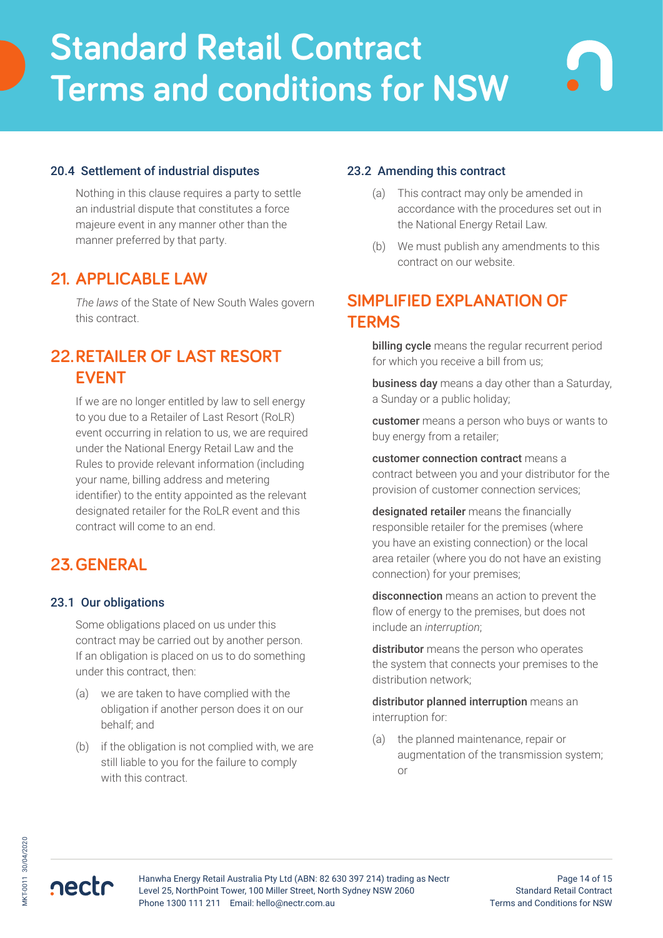## 20.4 Settlement of industrial disputes

Nothing in this clause requires a party to settle an industrial dispute that constitutes a force majeure event in any manner other than the manner preferred by that party.

# **21. APPLICABLE LAW**

*The laws* of the State of New South Wales govern this contract.

# **22.RETAILER OF LAST RESORT EVENT**

If we are no longer entitled by law to sell energy to you due to a Retailer of Last Resort (RoLR) event occurring in relation to us, we are required under the National Energy Retail Law and the Rules to provide relevant information (including your name, billing address and metering identifier) to the entity appointed as the relevant designated retailer for the RoLR event and this contract will come to an end.

# **23.GENERAL**

#### 23.1 Our obligations

Some obligations placed on us under this contract may be carried out by another person. If an obligation is placed on us to do something under this contract, then:

- (a) we are taken to have complied with the obligation if another person does it on our behalf; and
- (b) if the obligation is not complied with, we are still liable to you for the failure to comply with this contract.

#### 23.2 Amending this contract

- (a) This contract may only be amended in accordance with the procedures set out in the National Energy Retail Law.
- (b) We must publish any amendments to this contract on our website.

# **SIMPLIFIED EXPLANATION OF TERMS**

billing cycle means the regular recurrent period for which you receive a bill from us;

business day means a day other than a Saturday, a Sunday or a public holiday;

customer means a person who buys or wants to buy energy from a retailer;

customer connection contract means a contract between you and your distributor for the provision of customer connection services;

designated retailer means the financially responsible retailer for the premises (where you have an existing connection) or the local area retailer (where you do not have an existing connection) for your premises;

disconnection means an action to prevent the flow of energy to the premises, but does not include an *interruption*;

distributor means the person who operates the system that connects your premises to the distribution network;

distributor planned interruption means an interruption for:

(a) the planned maintenance, repair or augmentation of the transmission system; or

nectr